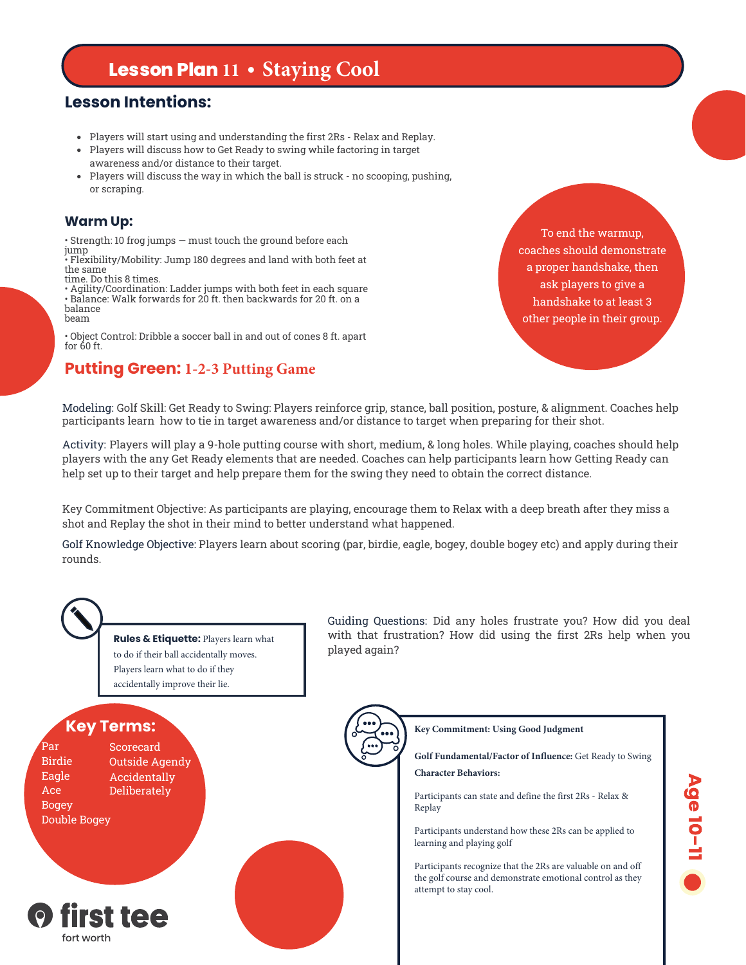# **Lesson Plan 11 • Staying Cool**

### **Lesson Intentions:**

- Players will start using and understanding the first 2Rs Relax and Replay.
- Players will discuss how to Get Ready to swing while factoring in target awareness and/or distance to their target.
- Players will discuss the way in which the ball is struck no scooping, pushing, or scraping.

#### **Warm Up:**

• Strength: 10 frog jumps — must touch the ground before each

jump • Flexibility/Mobility: Jump 180 degrees and land with both feet at the same

time. Do this 8 times. • Agility/Coordination: Ladder jumps with both feet in each square • Balance: Walk forwards for 20 ft. then backwards for 20 ft. on a balance beam

• Object Control: Dribble a soccer ball in and out of cones 8 ft. apart for 60 ft.

### **Putting Green: 1-2-3 Putting Game**

To end the warmup, coaches should demonstrate a proper handshake, then ask players to give a handshake to at least 3 other people in their group.

Modeling: Golf Skill: Get Ready to Swing: Players reinforce grip, stance, ball position, posture, & alignment. Coaches help participants learn how to tie in target awareness and/or distance to target when preparing for their shot.

Activity: Players will play a 9-hole putting course with short, medium, & long holes. While playing, coaches should help players with the any Get Ready elements that are needed. Coaches can help participants learn how Getting Ready can help set up to their target and help prepare them for the swing they need to obtain the correct distance.

Key Commitment Objective: As participants are playing, encourage them to Relax with a deep breath after they miss a shot and Replay the shot in their mind to better understand what happened.

Golf Knowledge Objective: Players learn about scoring (par, birdie, eagle, bogey, double bogey etc) and apply during their rounds.



**Rules & Etiquette:** Players learn what to do if their ball accidentally moves. Players learn what to do if they accidentally improve their lie.

## **Key Terms:**

Ace Deliberately Bogey Double Bogey

Par Scorecard Birdie Outside Agendy Eagle Accidentally



Guiding Questions: Did any holes frustrate you? How did you deal with that frustration? How did using the first 2Rs help when you played again?



**Key Commitment: Using Good Judgment**

**Golf Fundamental/Factor of Influence:** Get Ready to Swing **Character Behaviors:**

Participants can state and define the first 2Rs - Relax & Replay

Participants understand how these 2Rs can be applied to learning and playing golf

Participants recognize that the 2Rs are valuable on and off the golf course and demonstrate emotional control as they attempt to stay cool.